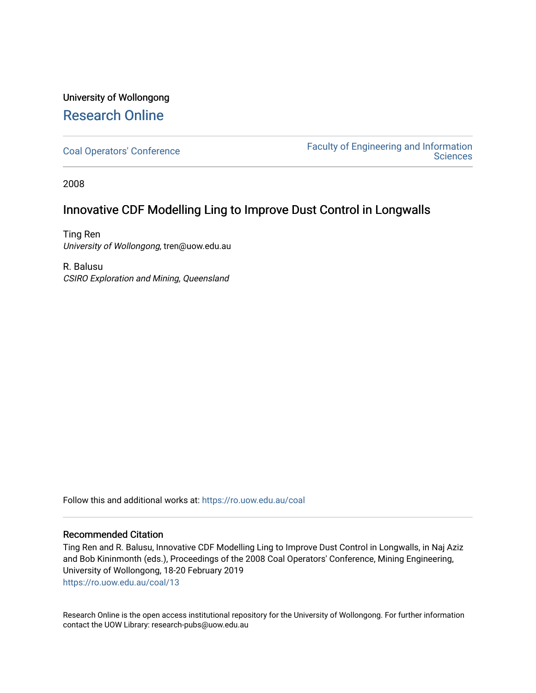## University of Wollongong [Research Online](https://ro.uow.edu.au/)

[Coal Operators' Conference](https://ro.uow.edu.au/coal) [Faculty of Engineering and Information](https://ro.uow.edu.au/eis)  **Sciences** 

2008

### Innovative CDF Modelling Ling to Improve Dust Control in Longwalls

Ting Ren University of Wollongong, tren@uow.edu.au

R. Balusu CSIRO Exploration and Mining, Queensland

Follow this and additional works at: [https://ro.uow.edu.au/coal](https://ro.uow.edu.au/coal?utm_source=ro.uow.edu.au%2Fcoal%2F13&utm_medium=PDF&utm_campaign=PDFCoverPages) 

#### Recommended Citation

Ting Ren and R. Balusu, Innovative CDF Modelling Ling to Improve Dust Control in Longwalls, in Naj Aziz and Bob Kininmonth (eds.), Proceedings of the 2008 Coal Operators' Conference, Mining Engineering, University of Wollongong, 18-20 February 2019 [https://ro.uow.edu.au/coal/13](https://ro.uow.edu.au/coal/13?utm_source=ro.uow.edu.au%2Fcoal%2F13&utm_medium=PDF&utm_campaign=PDFCoverPages) 

Research Online is the open access institutional repository for the University of Wollongong. For further information contact the UOW Library: research-pubs@uow.edu.au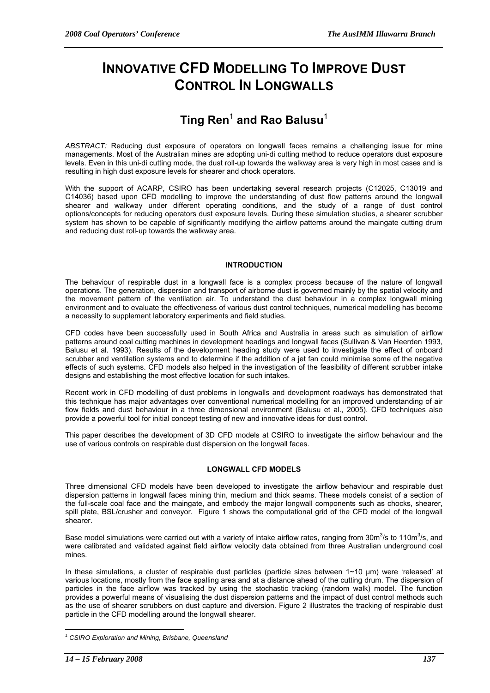# **INNOVATIVE CFD MODELLING TO IMPROVE DUST CONTROL IN LONGWALLS**

# $\mathsf{Ting}\ \mathsf{Ren}^1$  and Rao Balusu $^1$

*ABSTRACT:* Reducing dust exposure of operators on longwall faces remains a challenging issue for mine managements. Most of the Australian mines are adopting uni-di cutting method to reduce operators dust exposure levels. Even in this uni-di cutting mode, the dust roll-up towards the walkway area is very high in most cases and is resulting in high dust exposure levels for shearer and chock operators.

With the support of ACARP, CSIRO has been undertaking several research projects (C12025, C13019 and C14036) based upon CFD modelling to improve the understanding of dust flow patterns around the longwall shearer and walkway under different operating conditions, and the study of a range of dust control options/concepts for reducing operators dust exposure levels. During these simulation studies, a shearer scrubber system has shown to be capable of significantly modifying the airflow patterns around the maingate cutting drum and reducing dust roll-up towards the walkway area.

#### **INTRODUCTION**

The behaviour of respirable dust in a longwall face is a complex process because of the nature of longwall operations. The generation, dispersion and transport of airborne dust is governed mainly by the spatial velocity and the movement pattern of the ventilation air. To understand the dust behaviour in a complex longwall mining environment and to evaluate the effectiveness of various dust control techniques, numerical modelling has become a necessity to supplement laboratory experiments and field studies.

CFD codes have been successfully used in South Africa and Australia in areas such as simulation of airflow patterns around coal cutting machines in development headings and longwall faces (Sullivan & Van Heerden 1993, Balusu et al. 1993). Results of the development heading study were used to investigate the effect of onboard scrubber and ventilation systems and to determine if the addition of a jet fan could minimise some of the negative effects of such systems. CFD models also helped in the investigation of the feasibility of different scrubber intake designs and establishing the most effective location for such intakes.

Recent work in CFD modelling of dust problems in longwalls and development roadways has demonstrated that this technique has major advantages over conventional numerical modelling for an improved understanding of air flow fields and dust behaviour in a three dimensional environment (Balusu et al., 2005). CFD techniques also provide a powerful tool for initial concept testing of new and innovative ideas for dust control.

This paper describes the development of 3D CFD models at CSIRO to investigate the airflow behaviour and the use of various controls on respirable dust dispersion on the longwall faces.

#### **LONGWALL CFD MODELS**

Three dimensional CFD models have been developed to investigate the airflow behaviour and respirable dust dispersion patterns in longwall faces mining thin, medium and thick seams. These models consist of a section of the full-scale coal face and the maingate, and embody the major longwall components such as chocks, shearer, spill plate, BSL/crusher and conveyor. Figure 1 shows the computational grid of the CFD model of the longwall shearer.

Base model simulations were carried out with a variety of intake airflow rates, ranging from 30m<sup>3</sup>/s to 110m<sup>3</sup>/s, and were calibrated and validated against field airflow velocity data obtained from three Australian underground coal mines.

In these simulations, a cluster of respirable dust particles (particle sizes between 1~10 µm) were 'released' at various locations, mostly from the face spalling area and at a distance ahead of the cutting drum. The dispersion of particles in the face airflow was tracked by using the stochastic tracking (random walk) model. The function provides a powerful means of visualising the dust dispersion patterns and the impact of dust control methods such as the use of shearer scrubbers on dust capture and diversion. Figure 2 illustrates the tracking of respirable dust particle in the CFD modelling around the longwall shearer.

 $\overline{a}$ 

<sup>&</sup>lt;sup>1</sup> CSIRO Exploration and Mining, Brisbane, Queensland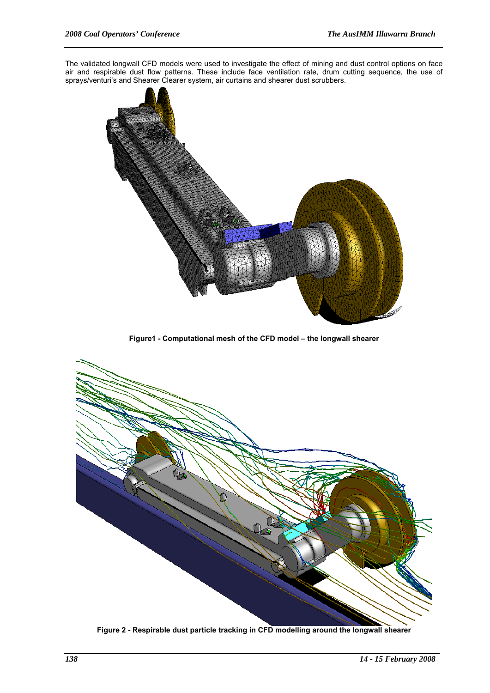The validated longwall CFD models were used to investigate the effect of mining and dust control options on face air and respirable dust flow patterns. These include face ventilation rate, drum cutting sequence, the use of sprays/venturi's and Shearer Clearer system, air curtains and shearer dust scrubbers.



**Figure1 - Computational mesh of the CFD model – the longwall shearer** 



**Figure 2 - Respirable dust particle tracking in CFD modelling around the longwall shearer**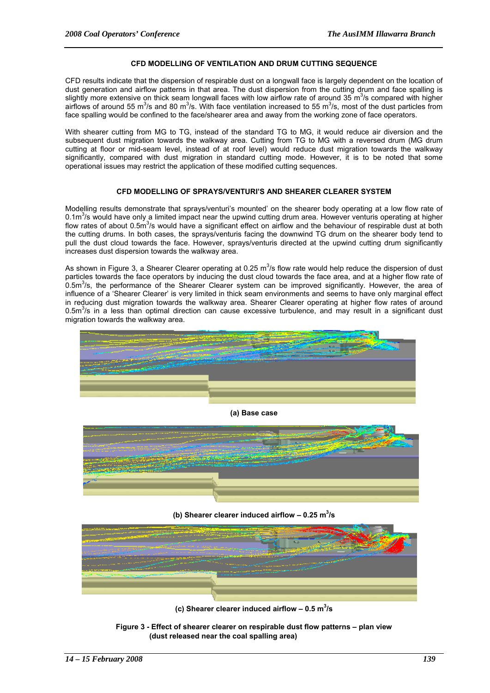#### **CFD MODELLING OF VENTILATION AND DRUM CUTTING SEQUENCE**

CFD results indicate that the dispersion of respirable dust on a longwall face is largely dependent on the location of dust generation and airflow patterns in that area. The dust dispersion from the cutting drum and face spalling is slightly more extensive on thick seam longwall faces with low airflow rate of around 35  $m^3$ /s compared with higher airflows of around 55 m<sup>3</sup>/s and 80 m<sup>3</sup>/s. With face ventilation increased to 55 m<sup>3</sup>/s, most of the dust particles from face spalling would be confined to the face/shearer area and away from the working zone of face operators.

With shearer cutting from MG to TG, instead of the standard TG to MG, it would reduce air diversion and the subsequent dust migration towards the walkway area. Cutting from TG to MG with a reversed drum (MG drum cutting at floor or mid-seam level, instead of at roof level) would reduce dust migration towards the walkway significantly, compared with dust migration in standard cutting mode. However, it is to be noted that some operational issues may restrict the application of these modified cutting sequences.

#### **CFD MODELLING OF SPRAYS/VENTURI'S AND SHEARER CLEARER SYSTEM**

Modelling results demonstrate that sprays/venturi's mounted' on the shearer body operating at a low flow rate of 0.1m<sup>3</sup>/s would have only a limited impact near the upwind cutting drum area. However venturis operating at higher flow rates of about 0.5m<sup>3</sup>/s would have a significant effect on airflow and the behaviour of respirable dust at both the cutting drums. In both cases, the sprays/venturis facing the downwind TG drum on the shearer body tend to pull the dust cloud towards the face. However, sprays/venturis directed at the upwind cutting drum significantly increases dust dispersion towards the walkway area.

As shown in Figure 3, a Shearer Clearer operating at 0.25 m<sup>3</sup>/s flow rate would help reduce the dispersion of dust particles towards the face operators by inducing the dust cloud towards the face area, and at a higher flow rate of 0.5m<sup>3</sup>/s, the performance of the Shearer Clearer system can be improved significantly. However, the area of influence of a 'Shearer Clearer' is very limited in thick seam environments and seems to have only marginal effect in reducing dust migration towards the walkway area. Shearer Clearer operating at higher flow rates of around  $0.5$ m $3$ /s in a less than optimal direction can cause excessive turbulence, and may result in a significant dust migration towards the walkway area.



#### **(a) Base case**



(b) Shearer clearer induced airflow  $-0.25 \text{ m}^3/\text{s}$ 



(c) Shearer clearer induced airflow  $-0.5 \text{ m}^3/\text{s}$ 

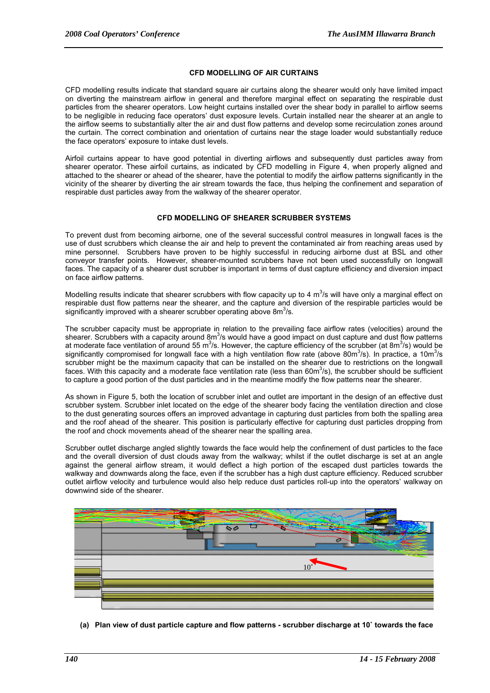#### **CFD MODELLING OF AIR CURTAINS**

CFD modelling results indicate that standard square air curtains along the shearer would only have limited impact on diverting the mainstream airflow in general and therefore marginal effect on separating the respirable dust particles from the shearer operators. Low height curtains installed over the shear body in parallel to airflow seems to be negligible in reducing face operators' dust exposure levels. Curtain installed near the shearer at an angle to the airflow seems to substantially alter the air and dust flow patterns and develop some recirculation zones around the curtain. The correct combination and orientation of curtains near the stage loader would substantially reduce the face operators' exposure to intake dust levels.

Airfoil curtains appear to have good potential in diverting airflows and subsequently dust particles away from shearer operator. These airfoil curtains, as indicated by CFD modelling in Figure 4, when properly aligned and attached to the shearer or ahead of the shearer, have the potential to modify the airflow patterns significantly in the vicinity of the shearer by diverting the air stream towards the face, thus helping the confinement and separation of respirable dust particles away from the walkway of the shearer operator.

#### **CFD MODELLING OF SHEARER SCRUBBER SYSTEMS**

To prevent dust from becoming airborne, one of the several successful control measures in longwall faces is the use of dust scrubbers which cleanse the air and help to prevent the contaminated air from reaching areas used by mine personnel. Scrubbers have proven to be highly successful in reducing airborne dust at BSL and other conveyor transfer points. However, shearer-mounted scrubbers have not been used successfully on longwall faces. The capacity of a shearer dust scrubber is important in terms of dust capture efficiency and diversion impact on face airflow patterns.

Modelling results indicate that shearer scrubbers with flow capacity up to 4  $m^3$ /s will have only a marginal effect on respirable dust flow patterns near the shearer, and the capture and diversion of the respirable particles would be significantly improved with a shearer scrubber operating above 8m<sup>3</sup>/s.

The scrubber capacity must be appropriate in relation to the prevailing face airflow rates (velocities) around the shearer. Scrubbers with a capacity around  $8m^3/s$  would have a good impact on dust capture and dust flow patterns at moderate face ventilation of around 55 m<sup>3</sup>/s. However, the capture efficiency of the scrubber (at 8m<sup>3</sup>/s) would be significantly compromised for longwall face with a high ventilation flow rate (above 80m<sup>3</sup>/s). In practice, a 10m<sup>3</sup>/s scrubber might be the maximum capacity that can be installed on the shearer due to restrictions on the longwall faces. With this capacity and a moderate face ventilation rate (less than 60 $m^3$ /s), the scrubber should be sufficient to capture a good portion of the dust particles and in the meantime modify the flow patterns near the shearer.

As shown in Figure 5, both the location of scrubber inlet and outlet are important in the design of an effective dust scrubber system. Scrubber inlet located on the edge of the shearer body facing the ventilation direction and close to the dust generating sources offers an improved advantage in capturing dust particles from both the spalling area and the roof ahead of the shearer. This position is particularly effective for capturing dust particles dropping from the roof and chock movements ahead of the shearer near the spalling area.

Scrubber outlet discharge angled slightly towards the face would help the confinement of dust particles to the face and the overall diversion of dust clouds away from the walkway; whilst if the outlet discharge is set at an angle against the general airflow stream, it would deflect a high portion of the escaped dust particles towards the walkway and downwards along the face, even if the scrubber has a high dust capture efficiency. Reduced scrubber outlet airflow velocity and turbulence would also help reduce dust particles roll-up into the operators' walkway on downwind side of the shearer.



**(a) Plan view of dust particle capture and flow patterns - scrubber discharge at 10˚ towards the face**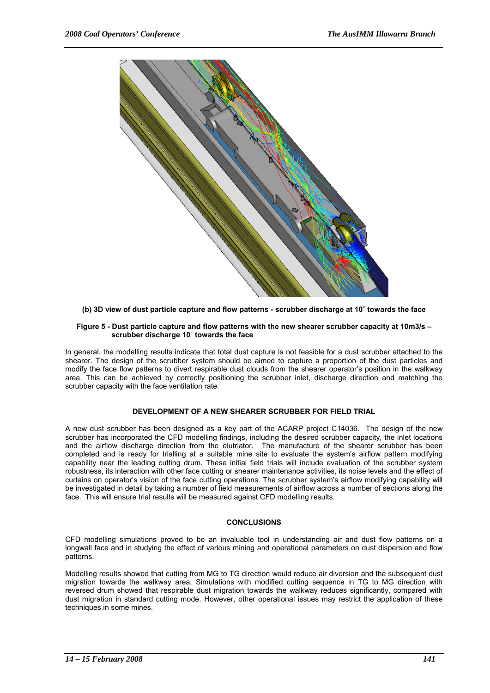

**(b) 3D view of dust particle capture and flow patterns - scrubber discharge at 10˚ towards the face** 

#### **Figure 5 - Dust particle capture and flow patterns with the new shearer scrubber capacity at 10m3/s – scrubber discharge 10˚ towards the face**

In general, the modelling results indicate that total dust capture is not feasible for a dust scrubber attached to the shearer. The design of the scrubber system should be aimed to capture a proportion of the dust particles and modify the face flow patterns to divert respirable dust clouds from the shearer operator's position in the walkway area. This can be achieved by correctly positioning the scrubber inlet, discharge direction and matching the scrubber capacity with the face ventilation rate.

#### **DEVELOPMENT OF A NEW SHEARER SCRUBBER FOR FIELD TRIAL**

A new dust scrubber has been designed as a key part of the ACARP project C14036. The design of the new scrubber has incorporated the CFD modelling findings, including the desired scrubber capacity, the inlet locations and the airflow discharge direction from the elutriator. The manufacture of the shearer scrubber has been completed and is ready for trialling at a suitable mine site to evaluate the system's airflow pattern modifying capability near the leading cutting drum. These initial field trials will include evaluation of the scrubber system robustness, its interaction with other face cutting or shearer maintenance activities, its noise levels and the effect of curtains on operator's vision of the face cutting operations. The scrubber system's airflow modifying capability will be investigated in detail by taking a number of field measurements of airflow across a number of sections along the face. This will ensure trial results will be measured against CFD modelling results.

#### **CONCLUSIONS**

CFD modelling simulations proved to be an invaluable tool in understanding air and dust flow patterns on a longwall face and in studying the effect of various mining and operational parameters on dust dispersion and flow patterns.

Modelling results showed that cutting from MG to TG direction would reduce air diversion and the subsequent dust migration towards the walkway area; Simulations with modified cutting sequence in TG to MG direction with reversed drum showed that respirable dust migration towards the walkway reduces significantly, compared with dust migration in standard cutting mode. However, other operational issues may restrict the application of these techniques in some mines.